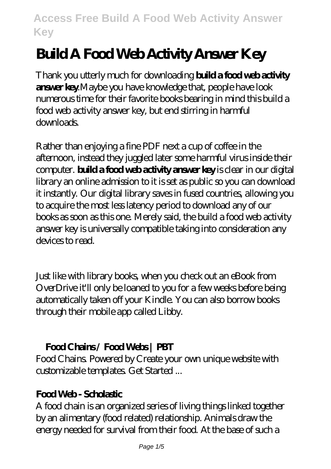# **Build A Food Web Activity Answer Key**

Thank you utterly much for downloading **build a food web activity answer key**.Maybe you have knowledge that, people have look numerous time for their favorite books bearing in mind this build a food web activity answer key, but end stirring in harmful downloads.

Rather than enjoying a fine PDF next a cup of coffee in the afternoon, instead they juggled later some harmful virus inside their computer. **build a food web activity answer key** is clear in our digital library an online admission to it is set as public so you can download it instantly. Our digital library saves in fused countries, allowing you to acquire the most less latency period to download any of our books as soon as this one. Merely said, the build a food web activity answer key is universally compatible taking into consideration any devices to read.

Just like with library books, when you check out an eBook from OverDrive it'll only be loaned to you for a few weeks before being automatically taken off your Kindle. You can also borrow books through their mobile app called Libby.

### **Food Chains / Food Webs | PBT**

Food Chains. Powered by Create your own unique website with customizable templates. Get Started ...

### **Food Web - Scholastic**

A food chain is an organized series of living things linked together by an alimentary (food related) relationship. Animals draw the energy needed for survival from their food. At the base of such a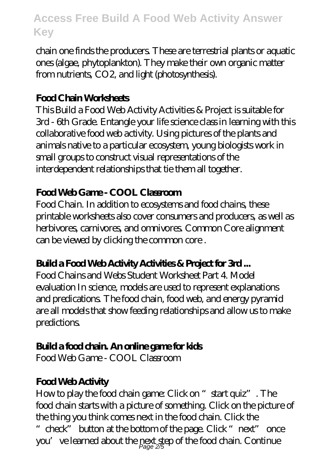chain one finds the producers. These are terrestrial plants or aquatic ones (algae, phytoplankton). They make their own organic matter from nutrients, CO2, and light (photosynthesis).

#### **Food Chain Worksheets**

This Build a Food Web Activity Activities & Project is suitable for 3rd - 6th Grade. Entangle your life science class in learning with this collaborative food web activity. Using pictures of the plants and animals native to a particular ecosystem, young biologists work in small groups to construct visual representations of the interdependent relationships that tie them all together.

## **Food Web Game - COOL Classroom**

Food Chain. In addition to ecosystems and food chains, these printable worksheets also cover consumers and producers, as well as herbivores, carnivores, and omnivores. Common Core alignment can be viewed by clicking the common core .

# **Build a Food Web Activity Activities & Project for 3rd ...**

Food Chains and Webs Student Worksheet Part 4. Model evaluation In science, models are used to represent explanations and predications. The food chain, food web, and energy pyramid are all models that show feeding relationships and allow us to make predictions.

# **Build a food chain. An online game for kids**

Food Web Game - COOL Classroom

# **Food Web Activity**

How to play the food chain game: Click on "start quiz". The food chain starts with a picture of something. Click on the picture of the thing you think comes next in the food chain. Click the "check" button at the bottom of the page. Click "next" once you've learned about the pext step of the food chain. Continue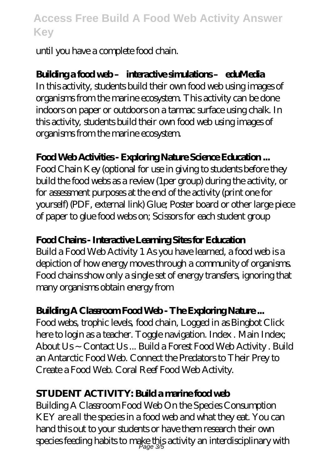until you have a complete food chain.

### **Building a food web – interactive simulations – eduMedia**

In this activity, students build their own food web using images of organisms from the marine ecosystem. This activity can be done indoors on paper or outdoors on a tarmac surface using chalk. In this activity, students build their own food web using images of organisms from the marine ecosystem.

#### **Food Web Activities - Exploring Nature Science Education ...**

Food Chain Key (optional for use in giving to students before they build the food webs as a review (1per group) during the activity, or for assessment purposes at the end of the activity (print one for yourself) (PDF, external link) Glue; Poster board or other large piece of paper to glue food webs on; Scissors for each student group

#### **Food Chains - Interactive Learning Sites for Education**

Build a Food Web Activity 1 As you have learned, a food web is a depiction of how energy moves through a community of organisms. Food chains show only a single set of energy transfers, ignoring that many organisms obtain energy from

#### **Building A Classroom Food Web - The Exploring Nature ...**

Food webs, trophic levels, food chain, Logged in as Bingbot Click here to login as a teacher. Toggle navigation. Index . Main Index; About Us ~ Contact Us ... Build a Forest Food Web Activity . Build an Antarctic Food Web. Connect the Predators to Their Prey to Create a Food Web. Coral Reef Food Web Activity.

#### **STUDENT ACTIVITY: Build a marine food web**

Building A Classroom Food Web On the Species Consumption KEY are all the species in a food web and what they eat. You can hand this out to your students or have them research their own species feeding habits to make this activity an interdisciplinary with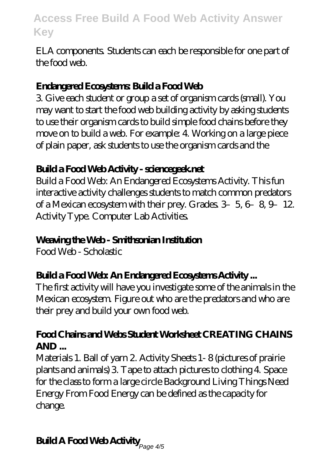ELA components. Students can each be responsible for one part of the food web.

### **Endangered Ecosystems: Build a Food Web**

3. Give each student or group a set of organism cards (small). You may want to start the food web building activity by asking students to use their organism cards to build simple food chains before they move on to build a web. For example: 4. Working on a large piece of plain paper, ask students to use the organism cards and the

#### **Build a Food Web Activity - sciencegeek.net**

Build a Food Web: An Endangered Ecosystems Activity. This fun interactive activity challenges students to match common predators of a Mexican ecosystem with their prey. Grades  $3-5, 6-8, 9-12$ . Activity Type. Computer Lab Activities.

### **Weaving the Web - Smithsonian Institution**

Food Web - Scholastic

### **Build a Food Web: An Endangered Ecosystems Activity ...**

The first activity will have you investigate some of the animals in the Mexican ecosystem. Figure out who are the predators and who are their prey and build your own food web.

#### **Food Chains and Webs Student Worksheet CREATING CHAINS AND ...**

Materials 1. Ball of yarn 2. Activity Sheets 1- 8 (pictures of prairie plants and animals) 3. Tape to attach pictures to clothing 4. Space for the class to form a large circle Background Living Things Need Energy From Food Energy can be defined as the capacity for change.

# **Build A Food Web Activity** Page 4/5